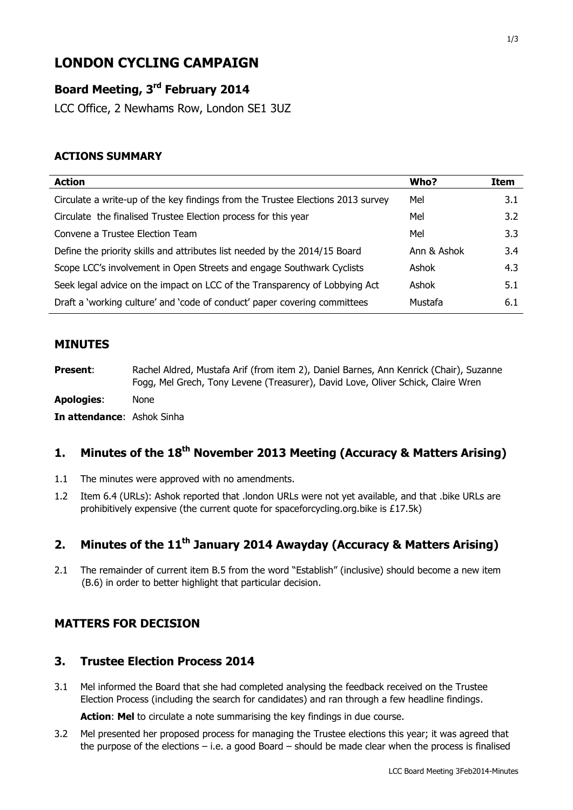# **LONDON CYCLING CAMPAIGN**

### **Board Meeting, 3 rd February 2014**

LCC Office, 2 Newhams Row, London SE1 3UZ

#### **ACTIONS SUMMARY**

| <b>Action</b>                                                                   | Who?        | Item          |
|---------------------------------------------------------------------------------|-------------|---------------|
| Circulate a write-up of the key findings from the Trustee Elections 2013 survey | Mel         | 3.1           |
| Circulate the finalised Trustee Election process for this year                  | Mel         | $3.2^{\circ}$ |
| Convene a Trustee Election Team                                                 | Mel         | 3.3           |
| Define the priority skills and attributes list needed by the 2014/15 Board      | Ann & Ashok | 3.4           |
| Scope LCC's involvement in Open Streets and engage Southwark Cyclists           | Ashok       | 4.3           |
| Seek legal advice on the impact on LCC of the Transparency of Lobbying Act      | Ashok       | 5.1           |
| Draft a 'working culture' and 'code of conduct' paper covering committees       | Mustafa     | 6.1           |

#### **MINUTES**

Present: Rachel Aldred, Mustafa Arif (from item 2), Daniel Barnes, Ann Kenrick (Chair), Suzanne Fogg, Mel Grech, Tony Levene (Treasurer), David Love, Oliver Schick, Claire Wren **Apologies**: None

**In attendance**: Ashok Sinha

## **1. Minutes of the 18th November 2013 Meeting (Accuracy & Matters Arising)**

- 1.1 The minutes were approved with no amendments.
- 1.2 Item 6.4 (URLs): Ashok reported that .london URLs were not yet available, and that .bike URLs are prohibitively expensive (the current quote for spaceforcycling.org.bike is £17.5k)

### **2. Minutes of the 11 th January 2014 Awayday (Accuracy & Matters Arising)**

2.1 The remainder of current item B.5 from the word "Establish" (inclusive) should become a new item (B.6) in order to better highlight that particular decision.

#### **MATTERS FOR DECISION**

#### **3. Trustee Election Process 2014**

3.1 Mel informed the Board that she had completed analysing the feedback received on the Trustee Election Process (including the search for candidates) and ran through a few headline findings.

Action: Mel to circulate a note summarising the key findings in due course.

3.2 Mel presented her proposed process for managing the Trustee elections this year; it was agreed that the purpose of the elections – i.e. a good Board – should be made clear when the process is finalised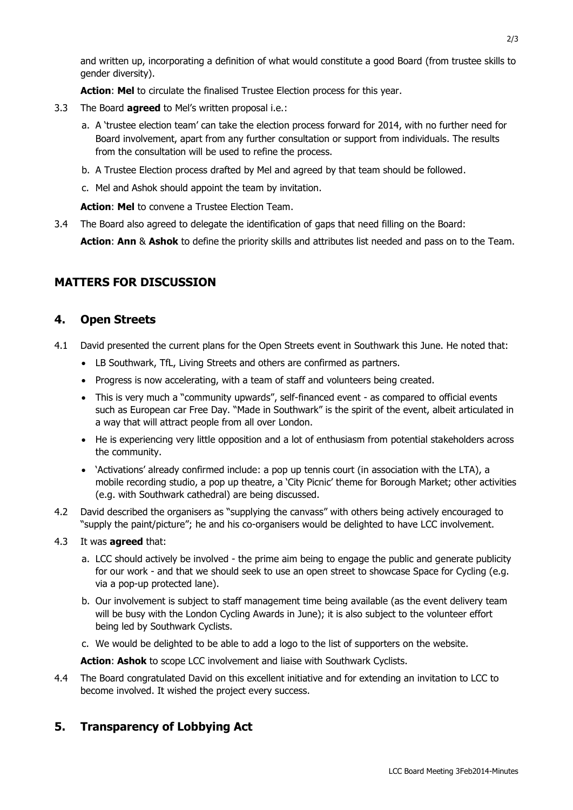and written up, incorporating a definition of what would constitute a good Board (from trustee skills to gender diversity).

**Action**: **Mel** to circulate the finalised Trustee Election process for this year.

- 3.3 The Board **agreed** to Mel's written proposal i.e.:
	- a. A 'trustee election team' can take the election process forward for 2014, with no further need for Board involvement, apart from any further consultation or support from individuals. The results from the consultation will be used to refine the process.
	- b. A Trustee Election process drafted by Mel and agreed by that team should be followed.
	- c. Mel and Ashok should appoint the team by invitation.

**Action**: **Mel** to convene a Trustee Election Team.

3.4 The Board also agreed to delegate the identification of gaps that need filling on the Board:

**Action**: **Ann** & **Ashok** to define the priority skills and attributes list needed and pass on to the Team.

### **MATTERS FOR DISCUSSION**

#### **4. Open Streets**

- 4.1 David presented the current plans for the Open Streets event in Southwark this June. He noted that:
	- LB Southwark, TfL, Living Streets and others are confirmed as partners.
	- Progress is now accelerating, with a team of staff and volunteers being created.
	- This is very much a "community upwards", self-financed event as compared to official events such as European car Free Day. "Made in Southwark" is the spirit of the event, albeit articulated in a way that will attract people from all over London.
	- He is experiencing very little opposition and a lot of enthusiasm from potential stakeholders across the community.
	- 'Activations' already confirmed include: a pop up tennis court (in association with the LTA), a mobile recording studio, a pop up theatre, a 'City Picnic' theme for Borough Market; other activities (e.g. with Southwark cathedral) are being discussed.
- 4.2 David described the organisers as "supplying the canvass" with others being actively encouraged to "supply the paint/picture"; he and his co-organisers would be delighted to have LCC involvement.

#### 4.3 It was **agreed** that:

- a. LCC should actively be involved the prime aim being to engage the public and generate publicity for our work - and that we should seek to use an open street to showcase Space for Cycling (e.g. via a pop-up protected lane).
- b. Our involvement is subject to staff management time being available (as the event delivery team will be busy with the London Cycling Awards in June); it is also subject to the volunteer effort being led by Southwark Cyclists.
- c. We would be delighted to be able to add a logo to the list of supporters on the website.

**Action**: **Ashok** to scope LCC involvement and liaise with Southwark Cyclists.

4.4 The Board congratulated David on this excellent initiative and for extending an invitation to LCC to become involved. It wished the project every success.

### **5. Transparency of Lobbying Act**